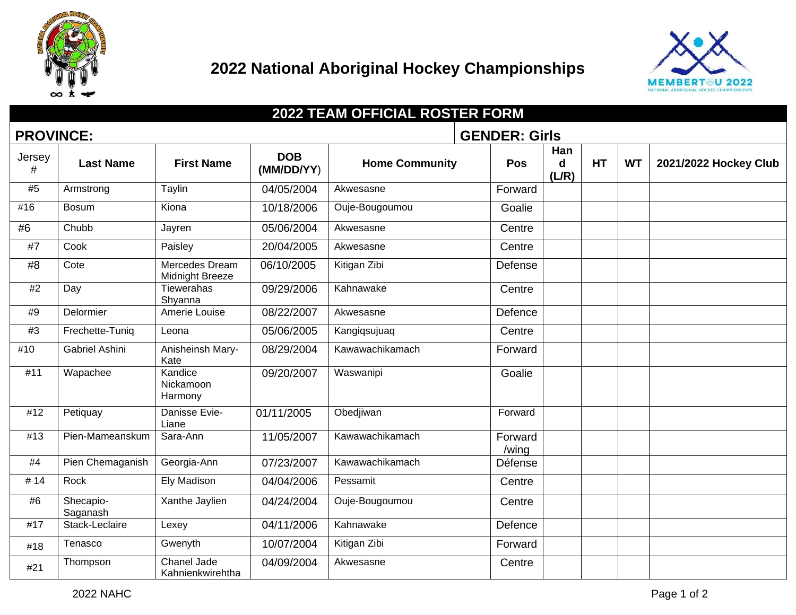

## **2022 National Aboriginal Hockey Championships**



| <b>2022 TEAM OFFICIAL ROSTER FORM</b> |                                          |                                          |                          |                       |                  |                             |           |           |                       |
|---------------------------------------|------------------------------------------|------------------------------------------|--------------------------|-----------------------|------------------|-----------------------------|-----------|-----------|-----------------------|
|                                       | <b>GENDER: Girls</b><br><b>PROVINCE:</b> |                                          |                          |                       |                  |                             |           |           |                       |
| Jersey<br>#                           | <b>Last Name</b>                         | <b>First Name</b>                        | <b>DOB</b><br>(MM/DD/YY) | <b>Home Community</b> | Pos              | Han<br>$\mathbf d$<br>(L/R) | <b>HT</b> | <b>WT</b> | 2021/2022 Hockey Club |
| #5                                    | Armstrong                                | Taylin                                   | 04/05/2004               | Akwesasne             | Forward          |                             |           |           |                       |
| #16                                   | <b>Bosum</b>                             | Kiona                                    | 10/18/2006               | Ouje-Bougoumou        | Goalie           |                             |           |           |                       |
| #6                                    | Chubb                                    | Jayren                                   | 05/06/2004               | Akwesasne             | Centre           |                             |           |           |                       |
| #7                                    | Cook                                     | Paisley                                  | 20/04/2005               | Akwesasne             | Centre           |                             |           |           |                       |
| #8                                    | Cote                                     | Mercedes Dream<br><b>Midnight Breeze</b> | 06/10/2005               | Kitigan Zibi          | Defense          |                             |           |           |                       |
| #2                                    | Day                                      | <b>Tiewerahas</b><br>Shyanna             | 09/29/2006               | Kahnawake             | Centre           |                             |           |           |                       |
| #9                                    | Delormier                                | Amerie Louise                            | 08/22/2007               | Akwesasne             | Defence          |                             |           |           |                       |
| #3                                    | Frechette-Tuniq                          | Leona                                    | 05/06/2005               | Kangiqsujuaq          | Centre           |                             |           |           |                       |
| #10                                   | Gabriel Ashini                           | Anisheinsh Mary-<br>Kate                 | 08/29/2004               | Kawawachikamach       | Forward          |                             |           |           |                       |
| #11                                   | Wapachee                                 | Kandice<br>Nickamoon<br>Harmony          | 09/20/2007               | Waswanipi             | Goalie           |                             |           |           |                       |
| #12                                   | Petiquay                                 | Danisse Evie-<br>Liane                   | 01/11/2005               | Obedjiwan             | Forward          |                             |           |           |                       |
| #13                                   | Pien-Mameanskum                          | Sara-Ann                                 | 11/05/2007               | Kawawachikamach       | Forward<br>/wing |                             |           |           |                       |
| #4                                    | Pien Chemaganish                         | Georgia-Ann                              | 07/23/2007               | Kawawachikamach       | Défense          |                             |           |           |                       |
| #14                                   | Rock                                     | <b>Ely Madison</b>                       | 04/04/2006               | Pessamit              | Centre           |                             |           |           |                       |
| #6                                    | Shecapio-<br>Saganash                    | Xanthe Jaylien                           | 04/24/2004               | Ouje-Bougoumou        | Centre           |                             |           |           |                       |
| #17                                   | Stack-Leclaire                           | Lexey                                    | 04/11/2006               | Kahnawake             | Defence          |                             |           |           |                       |
| #18                                   | Tenasco                                  | Gwenyth                                  | 10/07/2004               | Kitigan Zibi          | Forward          |                             |           |           |                       |
| #21                                   | Thompson                                 | Chanel Jade<br>Kahnienkwirehtha          | 04/09/2004               | Akwesasne             | Centre           |                             |           |           |                       |